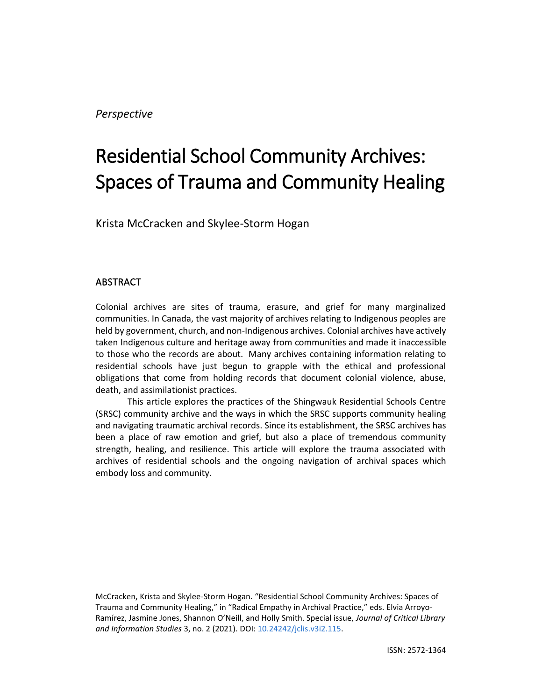# Residential School Community Archives: Spaces of Trauma and Community Healing

Krista McCracken and Skylee-Storm Hogan

# **ABSTRACT**

Colonial archives are sites of trauma, erasure, and grief for many marginalized communities. In Canada, the vast majority of archives relating to Indigenous peoples are held by government, church, and non-Indigenous archives. Colonial archives have actively taken Indigenous culture and heritage away from communities and made it inaccessible to those who the records are about. Many archives containing information relating to residential schools have just begun to grapple with the ethical and professional obligations that come from holding records that document colonial violence, abuse, death, and assimilationist practices.

This article explores the practices of the Shingwauk Residential Schools Centre (SRSC) community archive and the ways in which the SRSC supports community healing and navigating traumatic archival records. Since its establishment, the SRSC archives has been a place of raw emotion and grief, but also a place of tremendous community strength, healing, and resilience. This article will explore the trauma associated with archives of residential schools and the ongoing navigation of archival spaces which embody loss and community.

McCracken, Krista and Skylee-Storm Hogan. "Residential School Community Archives: Spaces of Trauma and Community Healing," in "Radical Empathy in Archival Practice," eds. Elvia Arroyo-Ramírez, Jasmine Jones, Shannon O'Neill, and Holly Smith. Special issue, *Journal of Critical Library and Information Studies* 3, no. 2 (2021). DOI[: 10.24242/jclis.v3i2.115.](https://doi.org/10.24242/jclis.v3i2.115)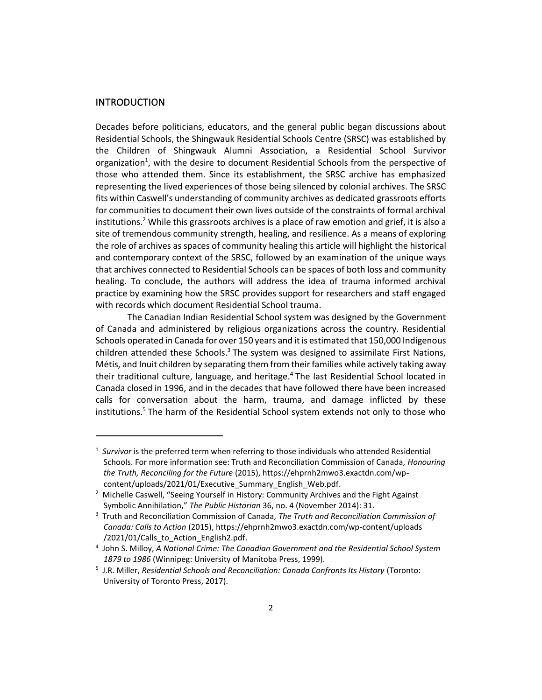#### INTRODUCTION

Decades before politicians, educators, and the general public began discussions about Residential Schools, the Shingwauk Residential Schools Centre (SRSC) was established by the Children of Shingwauk Alumni Association, a Residential School Survivor organization<sup>1</sup>, with the desire to document Residential Schools from the perspective of those who attended them. Since its establishment, the SRSC archive has emphasized representing the lived experiences of those being silenced by colonial archives. The SRSC fits within Caswell's understanding of community archives as dedicated grassroots efforts for communities to document their own lives outside of the constraints of formal archival institutions.<sup>2</sup> While this grassroots archives is a place of raw emotion and grief, it is also a site of tremendous community strength, healing, and resilience. As a means of exploring the role of archives as spaces of community healing this article will highlight the historical and contemporary context of the SRSC, followed by an examination of the unique ways that archives connected to Residential Schools can be spaces of both loss and community healing. To conclude, the authors will address the idea of trauma informed archival practice by examining how the SRSC provides support for researchers and staff engaged with records which document Residential School trauma.

The Canadian Indian Residential School system was designed by the Government of Canada and administered by religious organizations across the country. Residential Schools operated in Canada for over 150 years and it is estimated that 150,000 Indigenous children attended these Schools. $3$  The system was designed to assimilate First Nations, Métis, and Inuit children by separating them from their families while actively taking away their traditional culture, language, and heritage.<sup>4</sup> The last Residential School located in Canada closed in 1996, and in the decades that have followed there have been increased calls for conversation about the harm, trauma, and damage inflicted by these institutions.<sup>5</sup> The harm of the Residential School system extends not only to those who

<sup>&</sup>lt;sup>1</sup> Survivor is the preferred term when referring to those individuals who attended Residential Schools. For more information see: Truth and Reconciliation Commission of Canada, *Honouring the Truth, Reconciling for the Future* (2015), https://ehprnh2mwo3.exactdn.com/wpcontent/uploads/2021/01/Executive\_Summary\_English\_Web.pdf.

<sup>&</sup>lt;sup>2</sup> Michelle Caswell, "Seeing Yourself in History: Community Archives and the Fight Against Symbolic Annihilation," *The Public Historian* 36, no. 4 (November 2014): 31.

<sup>3</sup> Truth and Reconciliation Commission of Canada, *The Truth and Reconciliation Commission of Canada: Calls to Action* (2015), https://ehprnh2mwo3.exactdn.com/wp-content/uploads /2021/01/Calls to Action English2.pdf.

<sup>4</sup> John S. Milloy, *A National Crime: The Canadian Government and the Residential School System 1879 to 1986* (Winnipeg: University of Manitoba Press, 1999).

<sup>5</sup> J.R. Miller, *Residential Schools and Reconciliation: Canada Confronts Its History* (Toronto: University of Toronto Press, 2017).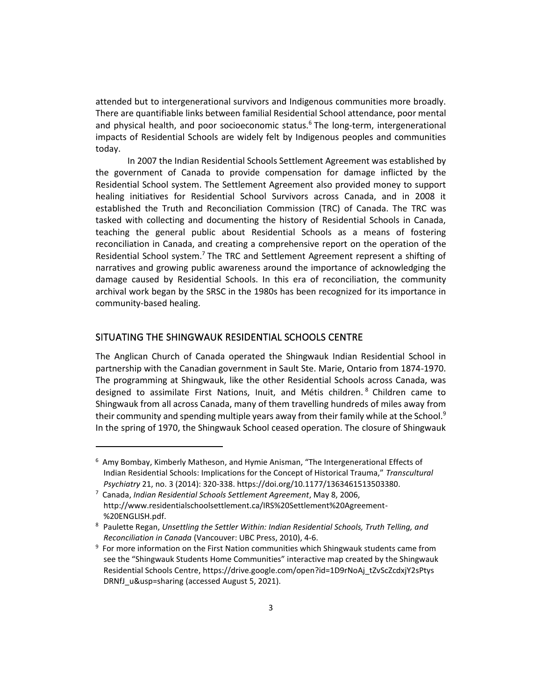attended but to intergenerational survivors and Indigenous communities more broadly. There are quantifiable links between familial Residential School attendance, poor mental and physical health, and poor socioeconomic status.<sup>6</sup> The long-term, intergenerational impacts of Residential Schools are widely felt by Indigenous peoples and communities today.

In 2007 the Indian Residential Schools Settlement Agreement was established by the government of Canada to provide compensation for damage inflicted by the Residential School system. The Settlement Agreement also provided money to support healing initiatives for Residential School Survivors across Canada, and in 2008 it established the Truth and Reconciliation Commission (TRC) of Canada. The TRC was tasked with collecting and documenting the history of Residential Schools in Canada, teaching the general public about Residential Schools as a means of fostering reconciliation in Canada, and creating a comprehensive report on the operation of the Residential School system.<sup>7</sup> The TRC and Settlement Agreement represent a shifting of narratives and growing public awareness around the importance of acknowledging the damage caused by Residential Schools. In this era of reconciliation, the community archival work began by the SRSC in the 1980s has been recognized for its importance in community-based healing.

# SITUATING THE SHINGWAUK RESIDENTIAL SCHOOLS CENTRE

The Anglican Church of Canada operated the Shingwauk Indian Residential School in partnership with the Canadian government in Sault Ste. Marie, Ontario from 1874-1970. The programming at Shingwauk, like the other Residential Schools across Canada, was designed to assimilate First Nations, Inuit, and Métis children. <sup>8</sup> Children came to Shingwauk from all across Canada, many of them travelling hundreds of miles away from their community and spending multiple years away from their family while at the School.<sup>9</sup> In the spring of 1970, the Shingwauk School ceased operation. The closure of Shingwauk

<sup>6</sup> Amy Bombay, Kimberly Matheson, and Hymie Anisman, "The Intergenerational Effects of Indian Residential Schools: Implications for the Concept of Historical Trauma," *Transcultural Psychiatry* 21, no. 3 (2014): 320-338. https://doi.org/10.1177/1363461513503380.

<sup>7</sup> Canada, *Indian Residential Schools Settlement Agreement*, May 8, 2006, http://www.residentialschoolsettlement.ca/IRS%20Settlement%20Agreement- %20ENGLISH.pdf.

<sup>8</sup> Paulette Regan, *Unsettling the Settler Within: Indian Residential Schools, Truth Telling, and Reconciliation in Canada* (Vancouver: UBC Press, 2010), 4-6.

<sup>&</sup>lt;sup>9</sup> For more information on the First Nation communities which Shingwauk students came from see the "Shingwauk Students Home Communities" interactive map created by the Shingwauk Residential Schools Centre, https://drive.google.com/open?id=1D9rNoAj\_tZvScZcdxjY2sPtys DRNfJ\_u&usp=sharing (accessed August 5, 2021).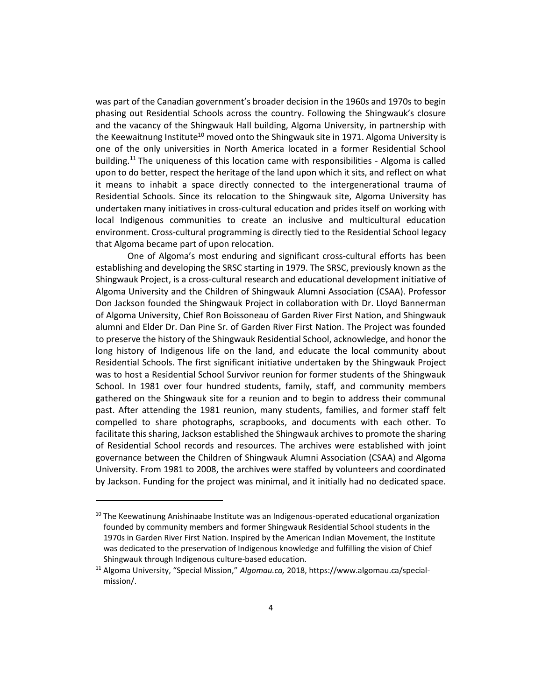was part of the Canadian government's broader decision in the 1960s and 1970s to begin phasing out Residential Schools across the country. Following the Shingwauk's closure and the vacancy of the Shingwauk Hall building, Algoma University, in partnership with the Keewaitnung Institute<sup>10</sup> moved onto the Shingwauk site in 1971. Algoma University is one of the only universities in North America located in a former Residential School building.<sup>11</sup> The uniqueness of this location came with responsibilities - Algoma is called upon to do better, respect the heritage of the land upon which it sits, and reflect on what it means to inhabit a space directly connected to the intergenerational trauma of Residential Schools. Since its relocation to the Shingwauk site, Algoma University has undertaken many initiatives in cross-cultural education and prides itself on working with local Indigenous communities to create an inclusive and multicultural education environment. Cross-cultural programming is directly tied to the Residential School legacy that Algoma became part of upon relocation.

One of Algoma's most enduring and significant cross-cultural efforts has been establishing and developing the SRSC starting in 1979. The SRSC, previously known as the Shingwauk Project, is a cross-cultural research and educational development initiative of Algoma University and the Children of Shingwauk Alumni Association (CSAA). Professor Don Jackson founded the Shingwauk Project in collaboration with Dr. Lloyd Bannerman of Algoma University, Chief Ron Boissoneau of Garden River First Nation, and Shingwauk alumni and Elder Dr. Dan Pine Sr. of Garden River First Nation. The Project was founded to preserve the history of the Shingwauk Residential School, acknowledge, and honor the long history of Indigenous life on the land, and educate the local community about Residential Schools. The first significant initiative undertaken by the Shingwauk Project was to host a Residential School Survivor reunion for former students of the Shingwauk School. In 1981 over four hundred students, family, staff, and community members gathered on the Shingwauk site for a reunion and to begin to address their communal past. After attending the 1981 reunion, many students, families, and former staff felt compelled to share photographs, scrapbooks, and documents with each other. To facilitate this sharing, Jackson established the Shingwauk archives to promote the sharing of Residential School records and resources. The archives were established with joint governance between the Children of Shingwauk Alumni Association (CSAA) and Algoma University. From 1981 to 2008, the archives were staffed by volunteers and coordinated by Jackson. Funding for the project was minimal, and it initially had no dedicated space.

 $10$  The Keewatinung Anishinaabe Institute was an Indigenous-operated educational organization founded by community members and former Shingwauk Residential School students in the 1970s in Garden River First Nation. Inspired by the American Indian Movement, the Institute was dedicated to the preservation of Indigenous knowledge and fulfilling the vision of Chief Shingwauk through Indigenous culture-based education.

<sup>11</sup> Algoma University, "Special Mission," *Algomau.ca,* 2018, https://www.algomau.ca/specialmission/.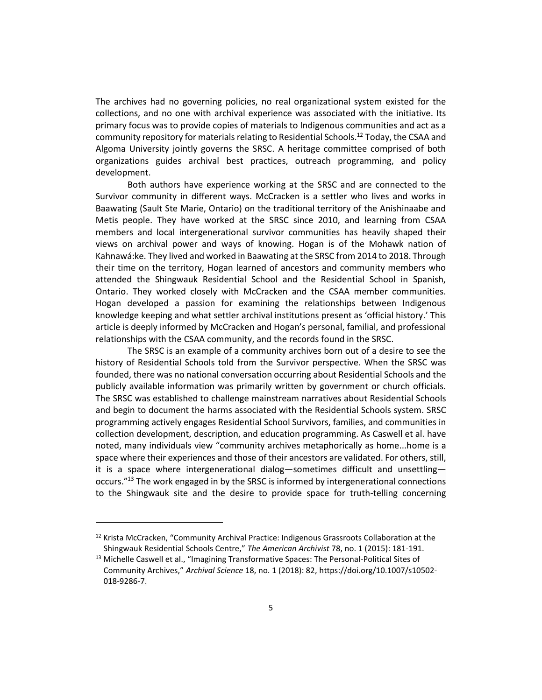The archives had no governing policies, no real organizational system existed for the collections, and no one with archival experience was associated with the initiative. Its primary focus was to provide copies of materials to Indigenous communities and act as a community repository for materials relating to Residential Schools.<sup>12</sup> Today, the CSAA and Algoma University jointly governs the SRSC. A heritage committee comprised of both organizations guides archival best practices, outreach programming, and policy development.

Both authors have experience working at the SRSC and are connected to the Survivor community in different ways. McCracken is a settler who lives and works in Baawating (Sault Ste Marie, Ontario) on the traditional territory of the Anishinaabe and Metis people. They have worked at the SRSC since 2010, and learning from CSAA members and local intergenerational survivor communities has heavily shaped their views on archival power and ways of knowing. Hogan is of the Mohawk nation of Kahnawá:ke. They lived and worked in Baawating at the SRSC from 2014 to 2018. Through their time on the territory, Hogan learned of ancestors and community members who attended the Shingwauk Residential School and the Residential School in Spanish, Ontario. They worked closely with McCracken and the CSAA member communities. Hogan developed a passion for examining the relationships between Indigenous knowledge keeping and what settler archival institutions present as 'official history.' This article is deeply informed by McCracken and Hogan's personal, familial, and professional relationships with the CSAA community, and the records found in the SRSC.

The SRSC is an example of a community archives born out of a desire to see the history of Residential Schools told from the Survivor perspective. When the SRSC was founded, there was no national conversation occurring about Residential Schools and the publicly available information was primarily written by government or church officials. The SRSC was established to challenge mainstream narratives about Residential Schools and begin to document the harms associated with the Residential Schools system. SRSC programming actively engages Residential School Survivors, families, and communities in collection development, description, and education programming. As Caswell et al. have noted, many individuals view "community archives metaphorically as home...home is a space where their experiences and those of their ancestors are validated. For others, still, it is a space where intergenerational dialog—sometimes difficult and unsettling occurs."<sup>13</sup> The work engaged in by the SRSC is informed by intergenerational connections to the Shingwauk site and the desire to provide space for truth-telling concerning

 $12$  Krista McCracken, "Community Archival Practice: Indigenous Grassroots Collaboration at the Shingwauk Residential Schools Centre," *The American Archivist* 78, no. 1 (2015): 181-191.

<sup>&</sup>lt;sup>13</sup> Michelle Caswell et al., "Imagining Transformative Spaces: The Personal-Political Sites of Community Archives," *Archival Science* 18, no. 1 (2018): 82, https://doi.org/10.1007/s10502- 018-9286-7.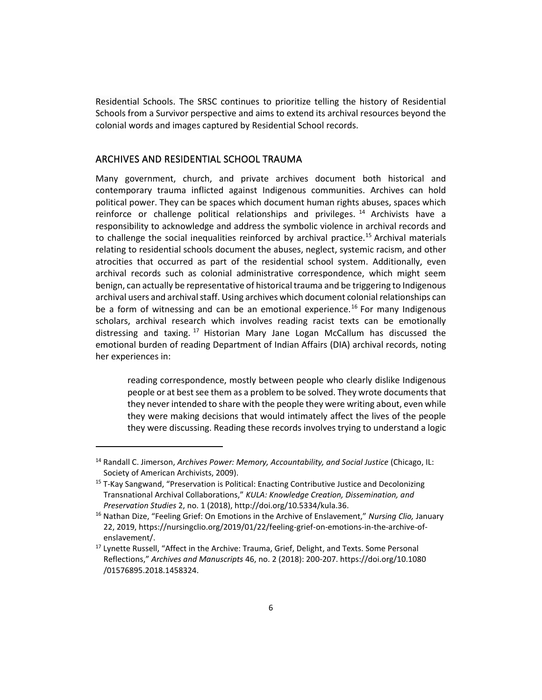Residential Schools. The SRSC continues to prioritize telling the history of Residential Schools from a Survivor perspective and aims to extend its archival resources beyond the colonial words and images captured by Residential School records.

#### ARCHIVES AND RESIDENTIAL SCHOOL TRAUMA

Many government, church, and private archives document both historical and contemporary trauma inflicted against Indigenous communities. Archives can hold political power. They can be spaces which document human rights abuses, spaces which reinforce or challenge political relationships and privileges.<sup>14</sup> Archivists have a responsibility to acknowledge and address the symbolic violence in archival records and to challenge the social inequalities reinforced by archival practice.<sup>15</sup> Archival materials relating to residential schools document the abuses, neglect, systemic racism, and other atrocities that occurred as part of the residential school system. Additionally, even archival records such as colonial administrative correspondence, which might seem benign, can actually be representative of historical trauma and be triggering to Indigenous archival users and archival staff. Using archives which document colonial relationships can be a form of witnessing and can be an emotional experience.<sup>16</sup> For many Indigenous scholars, archival research which involves reading racist texts can be emotionally distressing and taxing. <sup>17</sup> Historian Mary Jane Logan McCallum has discussed the emotional burden of reading Department of Indian Affairs (DIA) archival records, noting her experiences in:

reading correspondence, mostly between people who clearly dislike Indigenous people or at best see them as a problem to be solved. They wrote documents that they never intended to share with the people they were writing about, even while they were making decisions that would intimately affect the lives of the people they were discussing. Reading these records involves trying to understand a logic

<sup>14</sup> Randall C. Jimerson, *Archives Power: Memory, Accountability, and Social Justice* (Chicago, IL: Society of American Archivists, 2009).

<sup>&</sup>lt;sup>15</sup> T-Kay Sangwand, "Preservation is Political: Enacting Contributive Justice and Decolonizing Transnational Archival Collaborations," *KULA: Knowledge Creation, Dissemination, and Preservation Studies* 2, no. 1 (2018), http://doi.org/10.5334/kula.36.

<sup>16</sup> Nathan Dize, "Feeling Grief: On Emotions in the Archive of Enslavement," *Nursing Clio,* January 22, 2019, https://nursingclio.org/2019/01/22/feeling-grief-on-emotions-in-the-archive-ofenslavement/.

<sup>&</sup>lt;sup>17</sup> Lynette Russell, "Affect in the Archive: Trauma, Grief, Delight, and Texts. Some Personal Reflections," *Archives and Manuscripts* 46, no. 2 (2018): 200-207. https://doi.org/10.1080 /01576895.2018.1458324.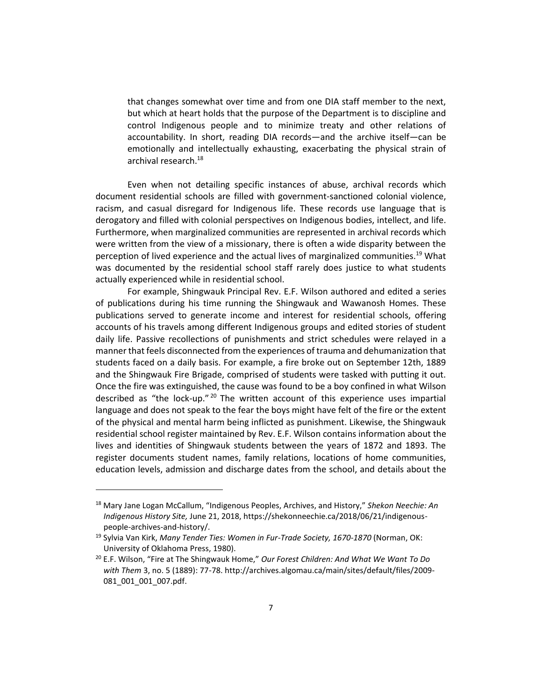that changes somewhat over time and from one DIA staff member to the next, but which at heart holds that the purpose of the Department is to discipline and control Indigenous people and to minimize treaty and other relations of accountability. In short, reading DIA records—and the archive itself—can be emotionally and intellectually exhausting, exacerbating the physical strain of archival research.<sup>18</sup>

Even when not detailing specific instances of abuse, archival records which document residential schools are filled with government-sanctioned colonial violence, racism, and casual disregard for Indigenous life. These records use language that is derogatory and filled with colonial perspectives on Indigenous bodies, intellect, and life. Furthermore, when marginalized communities are represented in archival records which were written from the view of a missionary, there is often a wide disparity between the perception of lived experience and the actual lives of marginalized communities.<sup>19</sup> What was documented by the residential school staff rarely does justice to what students actually experienced while in residential school.

For example, Shingwauk Principal Rev. E.F. Wilson authored and edited a series of publications during his time running the Shingwauk and Wawanosh Homes. These publications served to generate income and interest for residential schools, offering accounts of his travels among different Indigenous groups and edited stories of student daily life. Passive recollections of punishments and strict schedules were relayed in a manner that feels disconnected from the experiences of trauma and dehumanization that students faced on a daily basis. For example, a fire broke out on September 12th, 1889 and the Shingwauk Fire Brigade, comprised of students were tasked with putting it out. Once the fire was extinguished, the cause was found to be a boy confined in what Wilson described as "the lock-up."<sup>20</sup> The written account of this experience uses impartial language and does not speak to the fear the boys might have felt of the fire or the extent of the physical and mental harm being inflicted as punishment. Likewise, the Shingwauk residential school register maintained by Rev. E.F. Wilson contains information about the lives and identities of Shingwauk students between the years of 1872 and 1893. The register documents student names, family relations, locations of home communities, education levels, admission and discharge dates from the school, and details about the

<sup>18</sup> Mary Jane Logan McCallum, "Indigenous Peoples, Archives, and History," *Shekon Neechie: An Indigenous History Site,* June 21, 2018, https://shekonneechie.ca/2018/06/21/indigenouspeople-archives-and-history/.

<sup>19</sup> Sylvia Van Kirk, *Many Tender Ties: Women in Fur-Trade Society, 1670-1870* (Norman, OK: University of Oklahoma Press, 1980).

<sup>20</sup> E.F. Wilson, "Fire at The Shingwauk Home," *Our Forest Children: And What We Want To Do with Them* 3, no. 5 (1889): 77-78. http://archives.algomau.ca/main/sites/default/files/2009- 081\_001\_001\_007.pdf.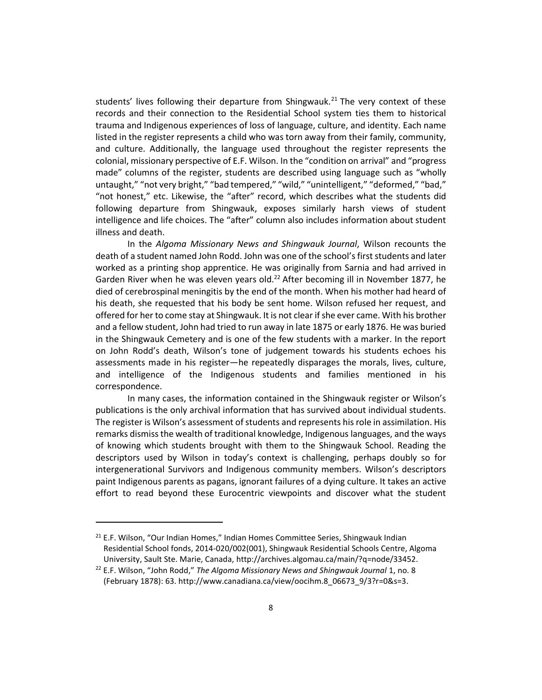students' lives following their departure from Shingwauk.<sup>21</sup> The very context of these records and their connection to the Residential School system ties them to historical trauma and Indigenous experiences of loss of language, culture, and identity. Each name listed in the register represents a child who was torn away from their family, community, and culture. Additionally, the language used throughout the register represents the colonial, missionary perspective of E.F. Wilson. In the "condition on arrival" and "progress made" columns of the register, students are described using language such as "wholly untaught," "not very bright," "bad tempered," "wild," "unintelligent," "deformed," "bad," "not honest," etc. Likewise, the "after" record, which describes what the students did following departure from Shingwauk, exposes similarly harsh views of student intelligence and life choices. The "after" column also includes information about student illness and death.

In the *Algoma Missionary News and Shingwauk Journal*, Wilson recounts the death of a student named John Rodd. John was one of the school's first students and later worked as a printing shop apprentice. He was originally from Sarnia and had arrived in Garden River when he was eleven years old.<sup>22</sup> After becoming ill in November 1877, he died of cerebrospinal meningitis by the end of the month. When his mother had heard of his death, she requested that his body be sent home. Wilson refused her request, and offered for her to come stay at Shingwauk. It is not clear if she ever came. With his brother and a fellow student, John had tried to run away in late 1875 or early 1876. He was buried in the Shingwauk Cemetery and is one of the few students with a marker. In the report on John Rodd's death, Wilson's tone of judgement towards his students echoes his assessments made in his register—he repeatedly disparages the morals, lives, culture, and intelligence of the Indigenous students and families mentioned in his correspondence.

In many cases, the information contained in the Shingwauk register or Wilson's publications is the only archival information that has survived about individual students. The register is Wilson's assessment of students and represents his role in assimilation. His remarks dismiss the wealth of traditional knowledge, Indigenous languages, and the ways of knowing which students brought with them to the Shingwauk School. Reading the descriptors used by Wilson in today's context is challenging, perhaps doubly so for intergenerational Survivors and Indigenous community members. Wilson's descriptors paint Indigenous parents as pagans, ignorant failures of a dying culture. It takes an active effort to read beyond these Eurocentric viewpoints and discover what the student

 $21$  E.F. Wilson, "Our Indian Homes," Indian Homes Committee Series, Shingwauk Indian Residential School fonds, 2014-020/002(001), Shingwauk Residential Schools Centre, Algoma University, Sault Ste. Marie, Canada, http://archives.algomau.ca/main/?q=node/33452.

<sup>22</sup> E.F. Wilson, "John Rodd," *The Algoma Missionary News and Shingwauk Journal* 1, no. 8 (February 1878): 63. http://www.canadiana.ca/view/oocihm.8\_06673\_9/3?r=0&s=3.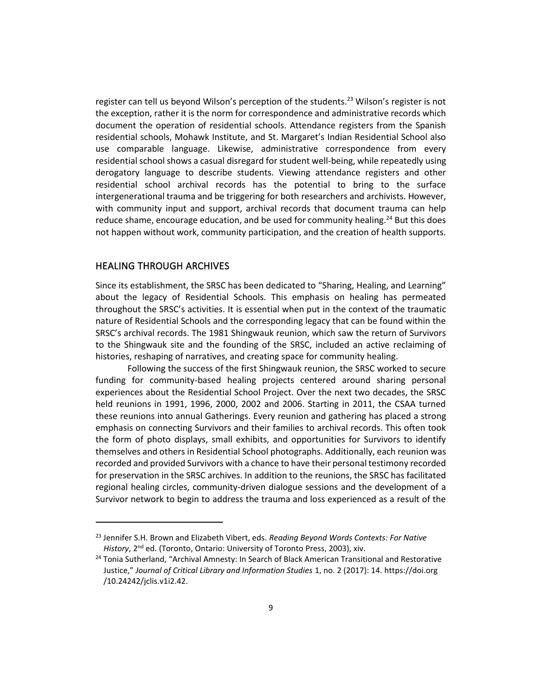register can tell us beyond Wilson's perception of the students.<sup>23</sup> Wilson's register is not the exception, rather it is the norm for correspondence and administrative records which document the operation of residential schools. Attendance registers from the Spanish residential schools, Mohawk Institute, and St. Margaret's Indian Residential School also use comparable language. Likewise, administrative correspondence from every residential school shows a casual disregard for student well-being, while repeatedly using derogatory language to describe students. Viewing attendance registers and other residential school archival records has the potential to bring to the surface intergenerational trauma and be triggering for both researchers and archivists. However, with community input and support, archival records that document trauma can help reduce shame, encourage education, and be used for community healing.<sup>24</sup> But this does not happen without work, community participation, and the creation of health supports.

# HEALING THROUGH ARCHIVES

Since its establishment, the SRSC has been dedicated to "Sharing, Healing, and Learning" about the legacy of Residential Schools. This emphasis on healing has permeated throughout the SRSC's activities. It is essential when put in the context of the traumatic nature of Residential Schools and the corresponding legacy that can be found within the SRSC's archival records. The 1981 Shingwauk reunion, which saw the return of Survivors to the Shingwauk site and the founding of the SRSC, included an active reclaiming of histories, reshaping of narratives, and creating space for community healing.

Following the success of the first Shingwauk reunion, the SRSC worked to secure funding for community-based healing projects centered around sharing personal experiences about the Residential School Project. Over the next two decades, the SRSC held reunions in 1991, 1996, 2000, 2002 and 2006. Starting in 2011, the CSAA turned these reunions into annual Gatherings. Every reunion and gathering has placed a strong emphasis on connecting Survivors and their families to archival records. This often took the form of photo displays, small exhibits, and opportunities for Survivors to identify themselves and others in Residential School photographs. Additionally, each reunion was recorded and provided Survivors with a chance to have their personal testimony recorded for preservation in the SRSC archives. In addition to the reunions, the SRSC has facilitated regional healing circles, community-driven dialogue sessions and the development of a Survivor network to begin to address the trauma and loss experienced as a result of the

<sup>23</sup> Jennifer S.H. Brown and Elizabeth Vibert, eds. *Reading Beyond Words Contexts: For Native History*, 2<sup>nd</sup> ed. (Toronto, Ontario: University of Toronto Press, 2003), xiv.

<sup>&</sup>lt;sup>24</sup> Tonia Sutherland, "Archival Amnesty: In Search of Black American Transitional and Restorative Justice," *Journal of Critical Library and Information Studies* 1, no. 2 (2017): 14. https://doi.org /10.24242/jclis.v1i2.42.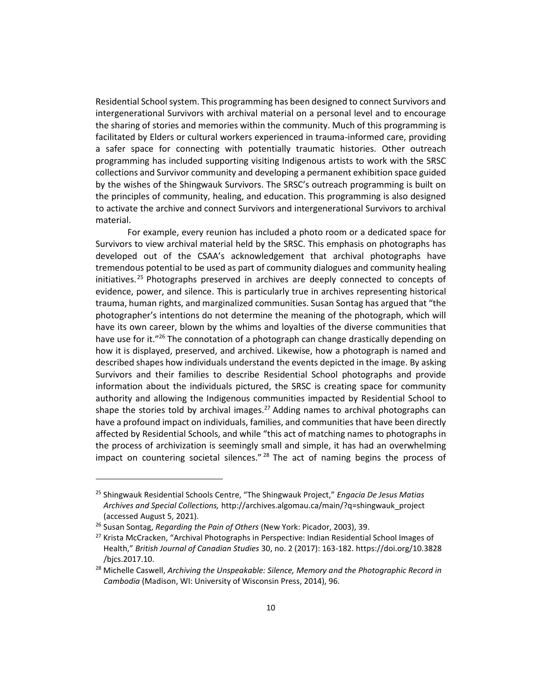Residential School system. This programming has been designed to connect Survivors and intergenerational Survivors with archival material on a personal level and to encourage the sharing of stories and memories within the community. Much of this programming is facilitated by Elders or cultural workers experienced in trauma-informed care, providing a safer space for connecting with potentially traumatic histories. Other outreach programming has included supporting visiting Indigenous artists to work with the SRSC collections and Survivor community and developing a permanent exhibition space guided by the wishes of the Shingwauk Survivors. The SRSC's outreach programming is built on the principles of community, healing, and education. This programming is also designed to activate the archive and connect Survivors and intergenerational Survivors to archival material.

For example, every reunion has included a photo room or a dedicated space for Survivors to view archival material held by the SRSC. This emphasis on photographs has developed out of the CSAA's acknowledgement that archival photographs have tremendous potential to be used as part of community dialogues and community healing initiatives.<sup>25</sup> Photographs preserved in archives are deeply connected to concepts of evidence, power, and silence. This is particularly true in archives representing historical trauma, human rights, and marginalized communities. Susan Sontag has argued that "the photographer's intentions do not determine the meaning of the photograph, which will have its own career, blown by the whims and loyalties of the diverse communities that have use for it."<sup>26</sup> The connotation of a photograph can change drastically depending on how it is displayed, preserved, and archived. Likewise, how a photograph is named and described shapes how individuals understand the events depicted in the image. By asking Survivors and their families to describe Residential School photographs and provide information about the individuals pictured, the SRSC is creating space for community authority and allowing the Indigenous communities impacted by Residential School to shape the stories told by archival images.<sup>27</sup> Adding names to archival photographs can have a profound impact on individuals, families, and communities that have been directly affected by Residential Schools, and while "this act of matching names to photographs in the process of archivization is seemingly small and simple, it has had an overwhelming impact on countering societal silences."  $28$  The act of naming begins the process of

<sup>25</sup> Shingwauk Residential Schools Centre, "The Shingwauk Project," *Engacia De Jesus Matias Archives and Special Collections,* http://archives.algomau.ca/main/?q=shingwauk\_project (accessed August 5, 2021).

<sup>26</sup> Susan Sontag, *Regarding the Pain of Others* (New York: Picador, 2003), 39.

 $27$  Krista McCracken, "Archival Photographs in Perspective: Indian Residential School Images of Health," *British Journal of Canadian Studies* 30, no. 2 (2017): 163-182. https://doi.org/10.3828 /bjcs.2017.10.

<sup>28</sup> Michelle Caswell, *Archiving the Unspeakable: Silence, Memory and the Photographic Record in Cambodia* (Madison, WI: University of Wisconsin Press, 2014), 96.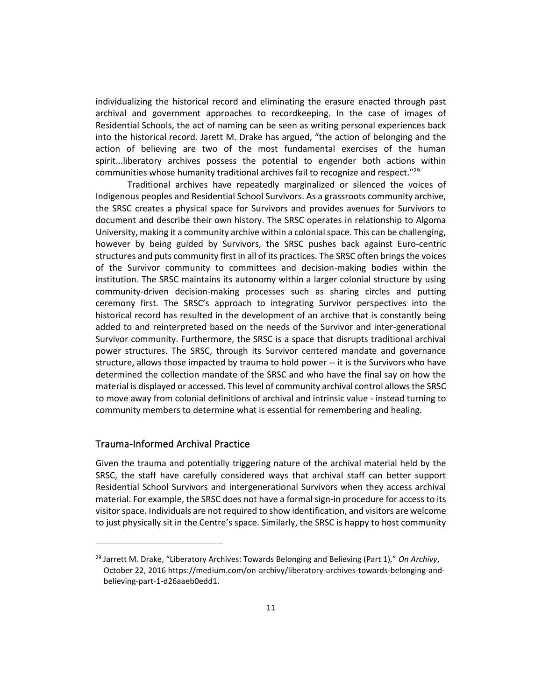individualizing the historical record and eliminating the erasure enacted through past archival and government approaches to recordkeeping. In the case of images of Residential Schools, the act of naming can be seen as writing personal experiences back into the historical record. Jarett M. Drake has argued, "the action of belonging and the action of believing are two of the most fundamental exercises of the human spirit...liberatory archives possess the potential to engender both actions within communities whose humanity traditional archives fail to recognize and respect."<sup>29</sup>

Traditional archives have repeatedly marginalized or silenced the voices of Indigenous peoples and Residential School Survivors. As a grassroots community archive, the SRSC creates a physical space for Survivors and provides avenues for Survivors to document and describe their own history. The SRSC operates in relationship to Algoma University, making it a community archive within a colonial space. This can be challenging, however by being guided by Survivors, the SRSC pushes back against Euro-centric structures and puts community first in all of its practices. The SRSC often brings the voices of the Survivor community to committees and decision-making bodies within the institution. The SRSC maintains its autonomy within a larger colonial structure by using community-driven decision-making processes such as sharing circles and putting ceremony first. The SRSC's approach to integrating Survivor perspectives into the historical record has resulted in the development of an archive that is constantly being added to and reinterpreted based on the needs of the Survivor and inter-generational Survivor community. Furthermore, the SRSC is a space that disrupts traditional archival power structures. The SRSC, through its Survivor centered mandate and governance structure, allows those impacted by trauma to hold power -- it is the Survivors who have determined the collection mandate of the SRSC and who have the final say on how the material is displayed or accessed. This level of community archival control allows the SRSC to move away from colonial definitions of archival and intrinsic value - instead turning to community members to determine what is essential for remembering and healing.

# Trauma-Informed Archival Practice

Given the trauma and potentially triggering nature of the archival material held by the SRSC, the staff have carefully considered ways that archival staff can better support Residential School Survivors and intergenerational Survivors when they access archival material. For example, the SRSC does not have a formal sign-in procedure for access to its visitor space. Individuals are not required to show identification, and visitors are welcome to just physically sit in the Centre's space. Similarly, the SRSC is happy to host community

<sup>29</sup> Jarrett M. Drake, "Liberatory Archives: Towards Belonging and Believing (Part 1)," *On Archivy*, October 22, 2016 https://medium.com/on-archivy/liberatory-archives-towards-belonging-andbelieving-part-1-d26aaeb0edd1.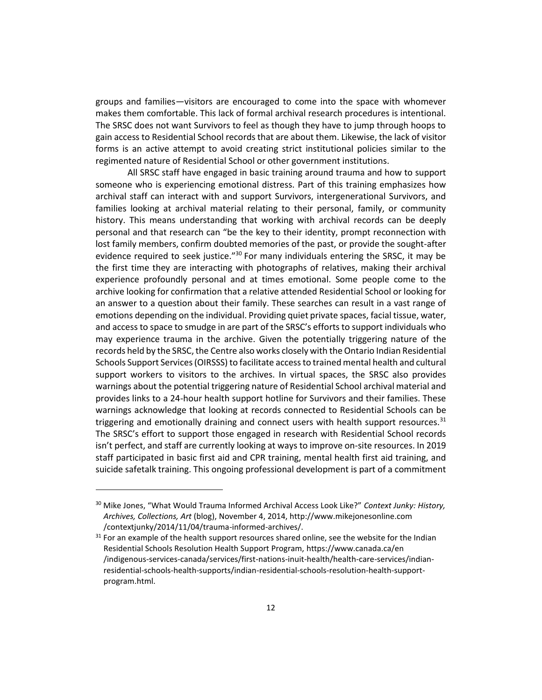groups and families—visitors are encouraged to come into the space with whomever makes them comfortable. This lack of formal archival research procedures is intentional. The SRSC does not want Survivors to feel as though they have to jump through hoops to gain access to Residential School records that are about them. Likewise, the lack of visitor forms is an active attempt to avoid creating strict institutional policies similar to the regimented nature of Residential School or other government institutions.

All SRSC staff have engaged in basic training around trauma and how to support someone who is experiencing emotional distress. Part of this training emphasizes how archival staff can interact with and support Survivors, intergenerational Survivors, and families looking at archival material relating to their personal, family, or community history. This means understanding that working with archival records can be deeply personal and that research can "be the key to their identity, prompt reconnection with lost family members, confirm doubted memories of the past, or provide the sought-after evidence required to seek justice."<sup>30</sup> For many individuals entering the SRSC, it may be the first time they are interacting with photographs of relatives, making their archival experience profoundly personal and at times emotional. Some people come to the archive looking for confirmation that a relative attended Residential School or looking for an answer to a question about their family. These searches can result in a vast range of emotions depending on the individual. Providing quiet private spaces, facial tissue, water, and access to space to smudge in are part of the SRSC's efforts to support individuals who may experience trauma in the archive. Given the potentially triggering nature of the records held by the SRSC, the Centre also works closely with the Ontario Indian Residential Schools Support Services (OIRSSS) to facilitate access to trained mental health and cultural support workers to visitors to the archives. In virtual spaces, the SRSC also provides warnings about the potential triggering nature of Residential School archival material and provides links to a 24-hour health support hotline for Survivors and their families. These warnings acknowledge that looking at records connected to Residential Schools can be triggering and emotionally draining and connect users with health support resources. $31$ The SRSC's effort to support those engaged in research with Residential School records isn't perfect, and staff are currently looking at ways to improve on-site resources. In 2019 staff participated in basic first aid and CPR training, mental health first aid training, and suicide safetalk training. This ongoing professional development is part of a commitment

<sup>30</sup> Mike Jones, "What Would Trauma Informed Archival Access Look Like?" *Context Junky: History, Archives, Collections, Art* (blog), November 4, 2014, http://www.mikejonesonline.com /contextjunky/2014/11/04/trauma-informed-archives/.

 $31$  For an example of the health support resources shared online, see the website for the Indian Residential Schools Resolution Health Support Program, https://www.canada.ca/en /indigenous-services-canada/services/first-nations-inuit-health/health-care-services/indianresidential-schools-health-supports/indian-residential-schools-resolution-health-supportprogram.html.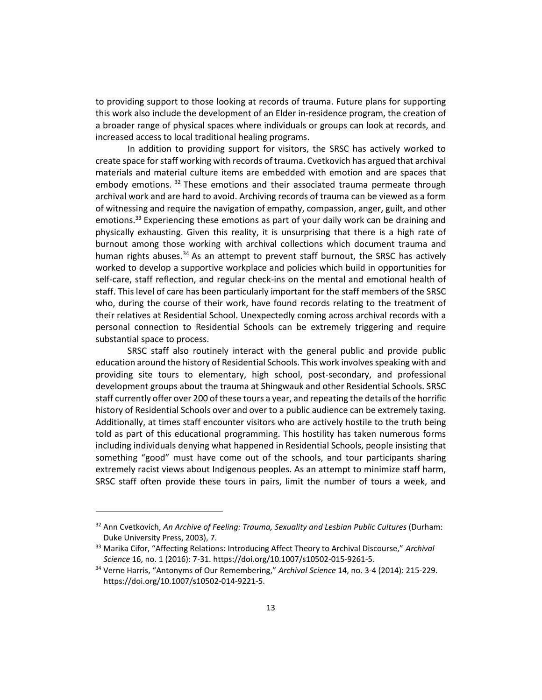to providing support to those looking at records of trauma. Future plans for supporting this work also include the development of an Elder in-residence program, the creation of a broader range of physical spaces where individuals or groups can look at records, and increased access to local traditional healing programs.

In addition to providing support for visitors, the SRSC has actively worked to create space for staff working with records of trauma. Cvetkovich has argued that archival materials and material culture items are embedded with emotion and are spaces that embody emotions. 32 These emotions and their associated trauma permeate through archival work and are hard to avoid. Archiving records of trauma can be viewed as a form of witnessing and require the navigation of empathy, compassion, anger, guilt, and other emotions.<sup>33</sup> Experiencing these emotions as part of your daily work can be draining and physically exhausting. Given this reality, it is unsurprising that there is a high rate of burnout among those working with archival collections which document trauma and human rights abuses.<sup>34</sup> As an attempt to prevent staff burnout, the SRSC has actively worked to develop a supportive workplace and policies which build in opportunities for self-care, staff reflection, and regular check-ins on the mental and emotional health of staff. This level of care has been particularly important for the staff members of the SRSC who, during the course of their work, have found records relating to the treatment of their relatives at Residential School. Unexpectedly coming across archival records with a personal connection to Residential Schools can be extremely triggering and require substantial space to process.

SRSC staff also routinely interact with the general public and provide public education around the history of Residential Schools. This work involves speaking with and providing site tours to elementary, high school, post-secondary, and professional development groups about the trauma at Shingwauk and other Residential Schools. SRSC staff currently offer over 200 of these tours a year, and repeating the details of the horrific history of Residential Schools over and over to a public audience can be extremely taxing. Additionally, at times staff encounter visitors who are actively hostile to the truth being told as part of this educational programming. This hostility has taken numerous forms including individuals denying what happened in Residential Schools, people insisting that something "good" must have come out of the schools, and tour participants sharing extremely racist views about Indigenous peoples. As an attempt to minimize staff harm, SRSC staff often provide these tours in pairs, limit the number of tours a week, and

<sup>32</sup> Ann Cvetkovich, *An Archive of Feeling: Trauma, Sexuality and Lesbian Public Cultures* (Durham: Duke University Press, 2003), 7.

<sup>33</sup> Marika Cifor, "Affecting Relations: Introducing Affect Theory to Archival Discourse," *Archival Science* 16, no. 1 (2016): 7-31. https://doi.org/10.1007/s10502-015-9261-5.

<sup>34</sup> Verne Harris, "Antonyms of Our Remembering," *Archival Science* 14, no. 3-4 (2014): 215-229. https://doi.org/10.1007/s10502-014-9221-5.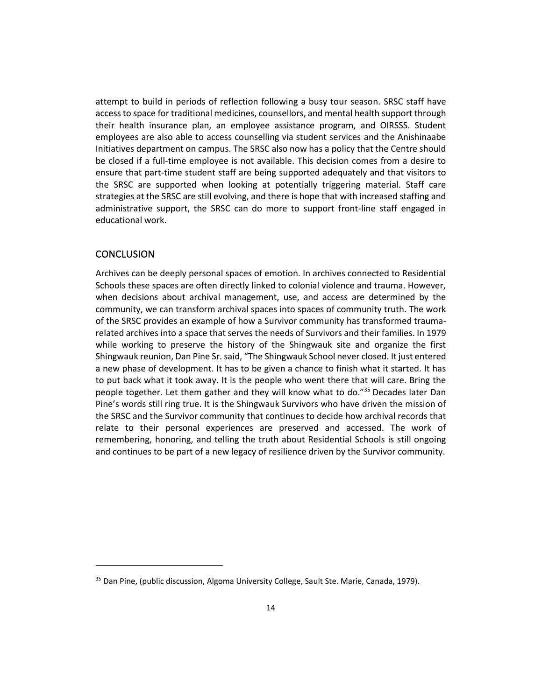attempt to build in periods of reflection following a busy tour season. SRSC staff have access to space for traditional medicines, counsellors, and mental health support through their health insurance plan, an employee assistance program, and OIRSSS. Student employees are also able to access counselling via student services and the Anishinaabe Initiatives department on campus. The SRSC also now has a policy that the Centre should be closed if a full-time employee is not available. This decision comes from a desire to ensure that part-time student staff are being supported adequately and that visitors to the SRSC are supported when looking at potentially triggering material. Staff care strategies at the SRSC are still evolving, and there is hope that with increased staffing and administrative support, the SRSC can do more to support front-line staff engaged in educational work.

#### **CONCLUSION**

Archives can be deeply personal spaces of emotion. In archives connected to Residential Schools these spaces are often directly linked to colonial violence and trauma. However, when decisions about archival management, use, and access are determined by the community, we can transform archival spaces into spaces of community truth. The work of the SRSC provides an example of how a Survivor community has transformed traumarelated archives into a space that serves the needs of Survivors and their families. In 1979 while working to preserve the history of the Shingwauk site and organize the first Shingwauk reunion, Dan Pine Sr. said, "The Shingwauk School never closed. It just entered a new phase of development. It has to be given a chance to finish what it started. It has to put back what it took away. It is the people who went there that will care. Bring the people together. Let them gather and they will know what to do."<sup>35</sup> Decades later Dan Pine's words still ring true. It is the Shingwauk Survivors who have driven the mission of the SRSC and the Survivor community that continues to decide how archival records that relate to their personal experiences are preserved and accessed. The work of remembering, honoring, and telling the truth about Residential Schools is still ongoing and continues to be part of a new legacy of resilience driven by the Survivor community.

<sup>&</sup>lt;sup>35</sup> Dan Pine, (public discussion, Algoma University College, Sault Ste. Marie, Canada, 1979).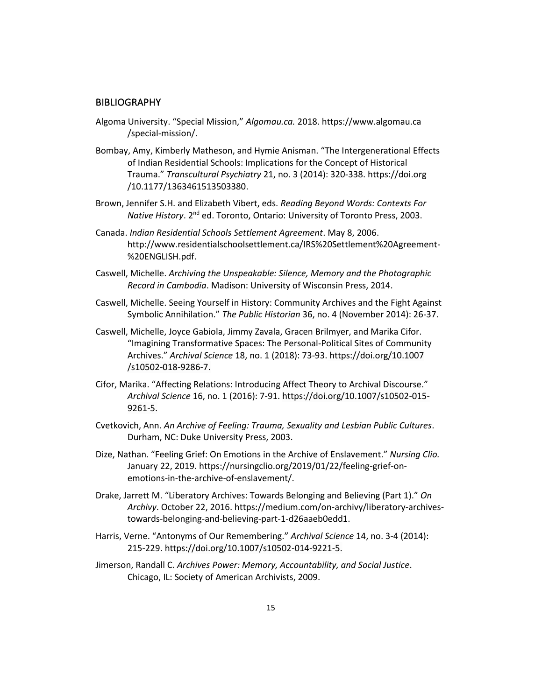#### **BIBLIOGRAPHY**

- Algoma University. "Special Mission," *Algomau.ca.* 2018. https://www.algomau.ca /special-mission/.
- Bombay, Amy, Kimberly Matheson, and Hymie Anisman. "The Intergenerational Effects of Indian Residential Schools: Implications for the Concept of Historical Trauma." *Transcultural Psychiatry* 21, no. 3 (2014): 320-338. https://doi.org /10.1177/1363461513503380.
- Brown, Jennifer S.H. and Elizabeth Vibert, eds. *Reading Beyond Words: Contexts For Native History*. 2<sup>nd</sup> ed. Toronto, Ontario: University of Toronto Press, 2003.
- Canada. *Indian Residential Schools Settlement Agreement*. May 8, 2006. http://www.residentialschoolsettlement.ca/IRS%20Settlement%20Agreement- %20ENGLISH.pdf.
- Caswell, Michelle. *Archiving the Unspeakable: Silence, Memory and the Photographic Record in Cambodia*. Madison: University of Wisconsin Press, 2014.
- Caswell, Michelle. Seeing Yourself in History: Community Archives and the Fight Against Symbolic Annihilation." *The Public Historian* 36, no. 4 (November 2014): 26-37.
- Caswell, Michelle, Joyce Gabiola, Jimmy Zavala, Gracen Brilmyer, and Marika Cifor. "Imagining Transformative Spaces: The Personal-Political Sites of Community Archives." *Archival Science* 18, no. 1 (2018): 73-93. https://doi.org/10.1007 /s10502-018-9286-7.
- Cifor, Marika. "Affecting Relations: Introducing Affect Theory to Archival Discourse." *Archival Science* 16, no. 1 (2016): 7-91. https://doi.org/10.1007/s10502-015- 9261-5.
- Cvetkovich, Ann. *An Archive of Feeling: Trauma, Sexuality and Lesbian Public Cultures*. Durham, NC: Duke University Press, 2003.
- Dize, Nathan. "Feeling Grief: On Emotions in the Archive of Enslavement." *Nursing Clio.*  January 22, 2019. https://nursingclio.org/2019/01/22/feeling-grief-onemotions-in-the-archive-of-enslavement/.
- Drake, Jarrett M. "Liberatory Archives: Towards Belonging and Believing (Part 1)." *On Archivy*. October 22, 2016. https://medium.com/on-archivy/liberatory-archivestowards-belonging-and-believing-part-1-d26aaeb0edd1.
- Harris, Verne. "Antonyms of Our Remembering." *Archival Science* 14, no. 3-4 (2014): 215-229. https://doi.org/10.1007/s10502-014-9221-5.
- Jimerson, Randall C. *Archives Power: Memory, Accountability, and Social Justice*. Chicago, IL: Society of American Archivists, 2009.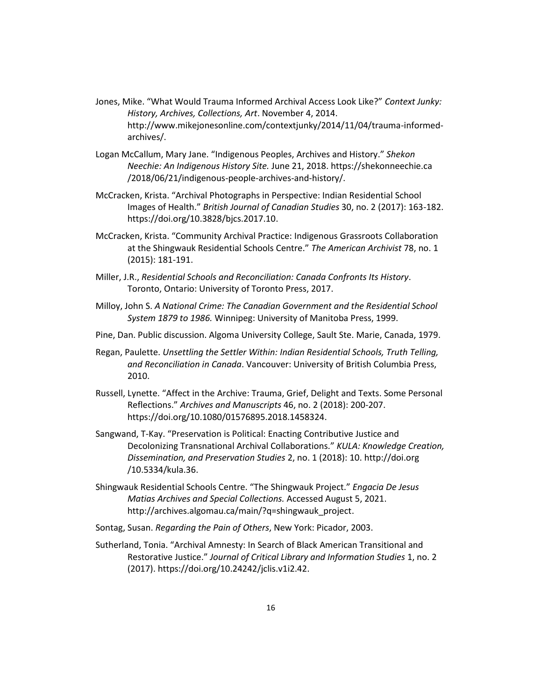- Jones, Mike. "What Would Trauma Informed Archival Access Look Like?" *Context Junky: History, Archives, Collections, Art*. November 4, 2014. http://www.mikejonesonline.com/contextjunky/2014/11/04/trauma-informedarchives/.
- Logan McCallum, Mary Jane. "Indigenous Peoples, Archives and History." *Shekon Neechie: An Indigenous History Site.* June 21, 2018. https://shekonneechie.ca /2018/06/21/indigenous-people-archives-and-history/.
- McCracken, Krista. "Archival Photographs in Perspective: Indian Residential School Images of Health." *British Journal of Canadian Studies* 30, no. 2 (2017): 163-182. https://doi.org/10.3828/bjcs.2017.10.
- McCracken, Krista. "Community Archival Practice: Indigenous Grassroots Collaboration at the Shingwauk Residential Schools Centre." *The American Archivist* 78, no. 1 (2015): 181-191.
- Miller, J.R., *Residential Schools and Reconciliation: Canada Confronts Its History*. Toronto, Ontario: University of Toronto Press, 2017.
- Milloy, John S. *A National Crime: The Canadian Government and the Residential School System 1879 to 1986.* Winnipeg: University of Manitoba Press, 1999.
- Pine, Dan. Public discussion. Algoma University College, Sault Ste. Marie, Canada, 1979.
- Regan, Paulette. *Unsettling the Settler Within: Indian Residential Schools, Truth Telling, and Reconciliation in Canada*. Vancouver: University of British Columbia Press, 2010.
- Russell, Lynette. "Affect in the Archive: Trauma, Grief, Delight and Texts. Some Personal Reflections." *Archives and Manuscripts* 46, no. 2 (2018): 200-207. https://doi.org/10.1080/01576895.2018.1458324.
- Sangwand, T-Kay. "Preservation is Political: Enacting Contributive Justice and Decolonizing Transnational Archival Collaborations." *KULA: Knowledge Creation, Dissemination, and Preservation Studies* 2, no. 1 (2018): 10. http://doi.org /10.5334/kula.36.
- Shingwauk Residential Schools Centre. "The Shingwauk Project." *Engacia De Jesus Matias Archives and Special Collections.* Accessed August 5, 2021. http://archives.algomau.ca/main/?q=shingwauk\_project.
- Sontag, Susan. *Regarding the Pain of Others*, New York: Picador, 2003.
- Sutherland, Tonia. "Archival Amnesty: In Search of Black American Transitional and Restorative Justice." *Journal of Critical Library and Information Studies* 1, no. 2 (2017). https://doi.org/10.24242/jclis.v1i2.42.